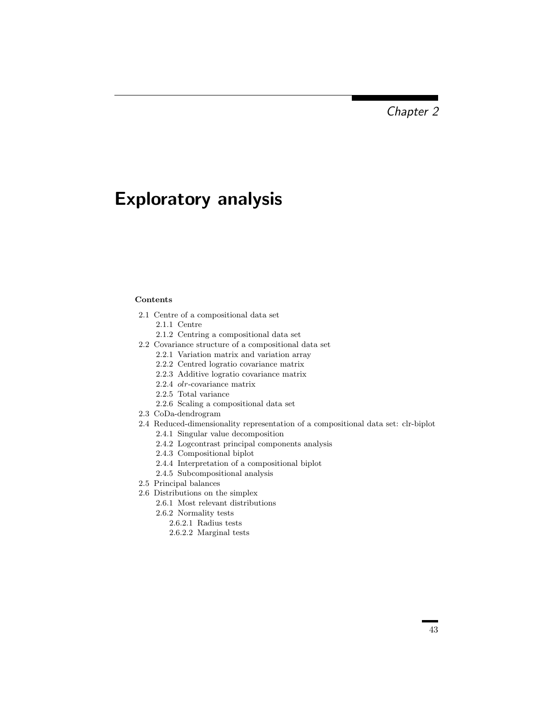Chapter 2

## Exploratory analysis

## Contents

- 2.1 Centre of a compositional data set
	- 2.1.1 Centre
	- 2.1.2 Centring a compositional data set
- 2.2 Covariance structure of a compositional data set
	- 2.2.1 Variation matrix and variation array
	- 2.2.2 Centred logratio covariance matrix
	- 2.2.3 Additive logratio covariance matrix
	- 2.2.4 olr-covariance matrix
	- 2.2.5 Total variance
	- 2.2.6 Scaling a compositional data set
- 2.3 CoDa-dendrogram
- 2.4 Reduced-dimensionality representation of a compositional data set: clr-biplot
	- 2.4.1 Singular value decomposition
	- 2.4.2 Logcontrast principal components analysis
	- 2.4.3 Compositional biplot
	- 2.4.4 Interpretation of a compositional biplot
	- 2.4.5 Subcompositional analysis
- 2.5 Principal balances
- 2.6 Distributions on the simplex
	- 2.6.1 Most relevant distributions
	- 2.6.2 Normality tests 2.6.2.1 Radius tests
		- 2.6.2.2 Marginal tests